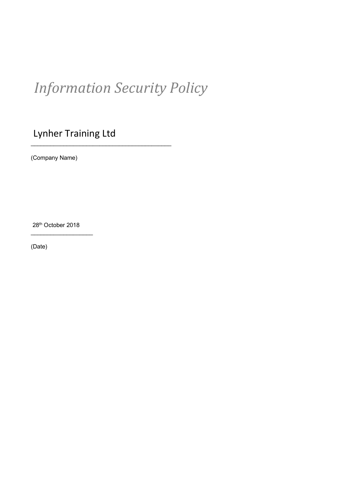# **Information Security Policy**

## Lynher Training Ltd

 $\mathcal{L}_\text{max}$  and  $\mathcal{L}_\text{max}$  and  $\mathcal{L}_\text{max}$  and  $\mathcal{L}_\text{max}$ 

(Company Name)

28th October 2018

\_\_\_\_\_\_\_\_\_\_\_\_\_\_\_\_\_\_\_

(Date)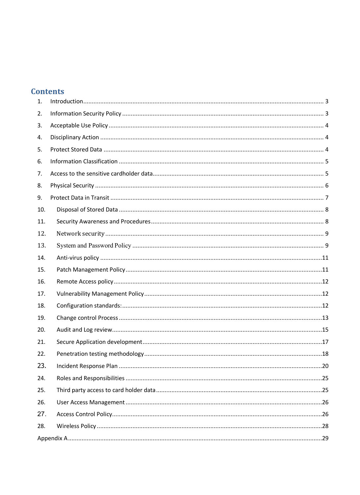## **Contents**

| 1.  |  |
|-----|--|
| 2.  |  |
| 3.  |  |
| 4.  |  |
| 5.  |  |
| 6.  |  |
| 7.  |  |
| 8.  |  |
| 9.  |  |
| 10. |  |
| 11. |  |
| 12. |  |
| 13. |  |
| 14. |  |
| 15. |  |
| 16. |  |
| 17. |  |
| 18. |  |
| 19. |  |
| 20. |  |
| 21. |  |
| 22. |  |
| 23. |  |
| 24. |  |
| 25. |  |
| 26. |  |
| 27. |  |
| 28. |  |
|     |  |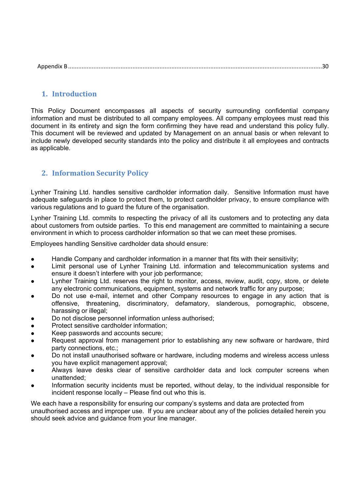Appendix B......................................................................................................................................................30

## 1. **Introduction**

This Policy Document encompasses all aspects of security surrounding confidential company information and must be distributed to all company employees. All company employees must read this document in its entirety and sign the form confirming they have read and understand this policy fully. This document will be reviewed and updated by Management on an annual basis or when relevant to include newly developed security standards into the policy and distribute it all employees and contracts as applicable.

## **2. Information Security Policy**

Lynher Training Ltd. handles sensitive cardholder information daily. Sensitive Information must have adequate safeguards in place to protect them, to protect cardholder privacy, to ensure compliance with various regulations and to guard the future of the organisation.

Lynher Training Ltd. commits to respecting the privacy of all its customers and to protecting any data about customers from outside parties. To this end management are committed to maintaining a secure environment in which to process cardholder information so that we can meet these promises.

Employees handling Sensitive cardholder data should ensure:

- Handle Company and cardholder information in a manner that fits with their sensitivity;
- Limit personal use of Lynher Training Ltd. information and telecommunication systems and ensure it doesn't interfere with your job performance;
- l Lynher Training Ltd. reserves the right to monitor, access, review, audit, copy, store, or delete any electronic communications, equipment, systems and network traffic for any purpose;
- Do not use e-mail, internet and other Company resources to engage in any action that is offensive, threatening, discriminatory, defamatory, slanderous, pornographic, obscene, harassing or illegal;
- Do not disclose personnel information unless authorised;
- Protect sensitive cardholder information:
- Keep passwords and accounts secure:
- Request approval from management prior to establishing any new software or hardware, third party connections, etc.;
- Do not install unauthorised software or hardware, including modems and wireless access unless you have explicit management approval;
- l Always leave desks clear of sensitive cardholder data and lock computer screens when unattended;
- Information security incidents must be reported, without delay, to the individual responsible for incident response locally – Please find out who this is.

We each have a responsibility for ensuring our company's systems and data are protected from unauthorised access and improper use. If you are unclear about any of the policies detailed herein you should seek advice and guidance from your line manager.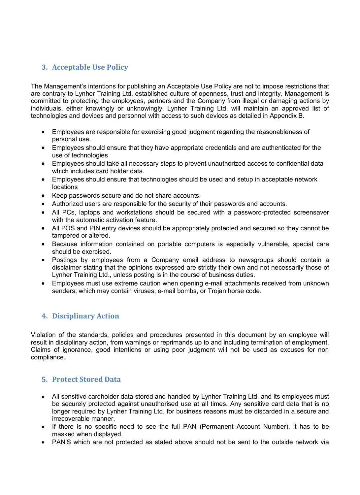## **3. Acceptable Use Policy**

The Management's intentions for publishing an Acceptable Use Policy are not to impose restrictions that are contrary to Lynher Training Ltd. established culture of openness, trust and integrity. Management is committed to protecting the employees, partners and the Company from illegal or damaging actions by individuals, either knowingly or unknowingly. Lynher Training Ltd. will maintain an approved list of technologies and devices and personnel with access to such devices as detailed in Appendix B.

- Employees are responsible for exercising good judgment regarding the reasonableness of personal use.
- Employees should ensure that they have appropriate credentials and are authenticated for the use of technologies
- Employees should take all necessary steps to prevent unauthorized access to confidential data which includes card holder data.
- Employees should ensure that technologies should be used and setup in acceptable network locations
- Keep passwords secure and do not share accounts.
- Authorized users are responsible for the security of their passwords and accounts.
- All PCs, laptops and workstations should be secured with a password-protected screensaver with the automatic activation feature.
- All POS and PIN entry devices should be appropriately protected and secured so they cannot be tampered or altered.
- Because information contained on portable computers is especially vulnerable, special care should be exercised.
- Postings by employees from a Company email address to newsgroups should contain a disclaimer stating that the opinions expressed are strictly their own and not necessarily those of Lynher Training Ltd., unless posting is in the course of business duties.
- Employees must use extreme caution when opening e-mail attachments received from unknown senders, which may contain viruses, e-mail bombs, or Trojan horse code.

## **4. Disciplinary Action**

Violation of the standards, policies and procedures presented in this document by an employee will result in disciplinary action, from warnings or reprimands up to and including termination of employment. Claims of ignorance, good intentions or using poor judgment will not be used as excuses for non compliance.

## **5.** Protect Stored Data

- All sensitive cardholder data stored and handled by Lynher Training Ltd. and its employees must be securely protected against unauthorised use at all times. Any sensitive card data that is no longer required by Lynher Training Ltd. for business reasons must be discarded in a secure and irrecoverable manner.
- If there is no specific need to see the full PAN (Permanent Account Number), it has to be masked when displayed.
- PAN'S which are not protected as stated above should not be sent to the outside network via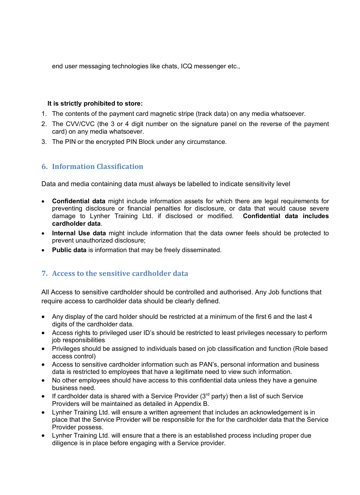end user messaging technologies like chats, ICQ messenger etc.,

#### **It is strictly prohibited to store:**

- 1. The contents of the payment card magnetic stripe (track data) on any media whatsoever.
- 2. The CVV/CVC (the 3 or 4 digit number on the signature panel on the reverse of the payment card) on any media whatsoever.
- 3. The PIN or the encrypted PIN Block under any circumstance.

## **6. Information Classification**

Data and media containing data must always be labelled to indicate sensitivity level

- **Confidential data** might include information assets for which there are legal requirements for preventing disclosure or financial penalties for disclosure, or data that would cause severe damage to Lynher Training Ltd. if disclosed or modified. **Confidential data includes cardholder data**.
- **Internal Use data** might include information that the data owner feels should be protected to prevent unauthorized disclosure;
- **Public data** is information that may be freely disseminated.

## **7.** Access to the sensitive cardholder data

All Access to sensitive cardholder should be controlled and authorised. Any Job functions that require access to cardholder data should be clearly defined.

- Any display of the card holder should be restricted at a minimum of the first 6 and the last 4 digits of the cardholder data.
- Access rights to privileged user ID's should be restricted to least privileges necessary to perform job responsibilities
- Privileges should be assigned to individuals based on job classification and function (Role based access control)
- Access to sensitive cardholder information such as PAN's, personal information and business data is restricted to employees that have a legitimate need to view such information.
- No other employees should have access to this confidential data unless they have a genuine business need.
- If cardholder data is shared with a Service Provider  $(3<sup>rd</sup>$  party) then a list of such Service Providers will be maintained as detailed in Appendix B.
- Lynher Training Ltd. will ensure a written agreement that includes an acknowledgement is in place that the Service Provider will be responsible for the for the cardholder data that the Service Provider possess.
- Lynher Training Ltd, will ensure that a there is an established process including proper due diligence is in place before engaging with a Service provider.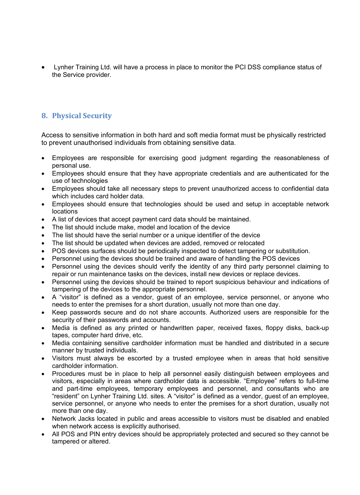• Lynher Training Ltd. will have a process in place to monitor the PCI DSS compliance status of the Service provider.

## **8. Physical Security**

Access to sensitive information in both hard and soft media format must be physically restricted to prevent unauthorised individuals from obtaining sensitive data.

- Employees are responsible for exercising good judgment regarding the reasonableness of personal use.
- Employees should ensure that they have appropriate credentials and are authenticated for the use of technologies
- Employees should take all necessary steps to prevent unauthorized access to confidential data which includes card holder data.
- Employees should ensure that technologies should be used and setup in acceptable network locations
- A list of devices that accept payment card data should be maintained.
- The list should include make, model and location of the device
- The list should have the serial number or a unique identifier of the device
- The list should be updated when devices are added, removed or relocated
- POS devices surfaces should be periodically inspected to detect tampering or substitution.
- Personnel using the devices should be trained and aware of handling the POS devices
- Personnel using the devices should verify the identity of any third party personnel claiming to repair or run maintenance tasks on the devices, install new devices or replace devices.
- Personnel using the devices should be trained to report suspicious behaviour and indications of tampering of the devices to the appropriate personnel.
- A "visitor" is defined as a vendor, guest of an employee, service personnel, or anyone who needs to enter the premises for a short duration, usually not more than one day.
- Keep passwords secure and do not share accounts. Authorized users are responsible for the security of their passwords and accounts.
- Media is defined as any printed or handwritten paper, received faxes, floppy disks, back-up tapes, computer hard drive, etc.
- Media containing sensitive cardholder information must be handled and distributed in a secure manner by trusted individuals.
- Visitors must always be escorted by a trusted employee when in areas that hold sensitive cardholder information.
- Procedures must be in place to help all personnel easily distinguish between employees and visitors, especially in areas where cardholder data is accessible. "Employee" refers to full-time and part-time employees, temporary employees and personnel, and consultants who are "resident" on Lynher Training Ltd. sites. A "visitor" is defined as a vendor, guest of an employee, service personnel, or anyone who needs to enter the premises for a short duration, usually not more than one day.
- Network Jacks located in public and areas accessible to visitors must be disabled and enabled when network access is explicitly authorised.
- All POS and PIN entry devices should be appropriately protected and secured so they cannot be tampered or altered.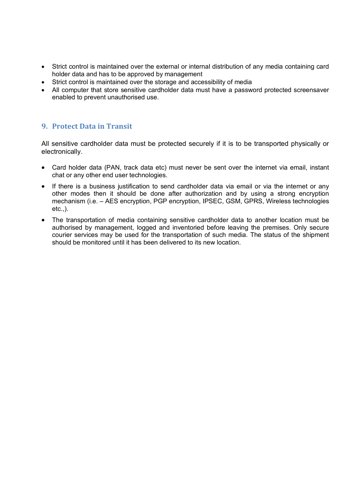- Strict control is maintained over the external or internal distribution of any media containing card holder data and has to be approved by management
- Strict control is maintained over the storage and accessibility of media
- All computer that store sensitive cardholder data must have a password protected screensaver enabled to prevent unauthorised use.

## **9.** Protect Data in Transit

All sensitive cardholder data must be protected securely if it is to be transported physically or electronically.

- Card holder data (PAN, track data etc) must never be sent over the internet via email, instant chat or any other end user technologies.
- If there is a business justification to send cardholder data via email or via the internet or any other modes then it should be done after authorization and by using a strong encryption mechanism (i.e. – AES encryption, PGP encryption, IPSEC, GSM, GPRS, Wireless technologies etc.,).
- The transportation of media containing sensitive cardholder data to another location must be authorised by management, logged and inventoried before leaving the premises. Only secure courier services may be used for the transportation of such media. The status of the shipment should be monitored until it has been delivered to its new location.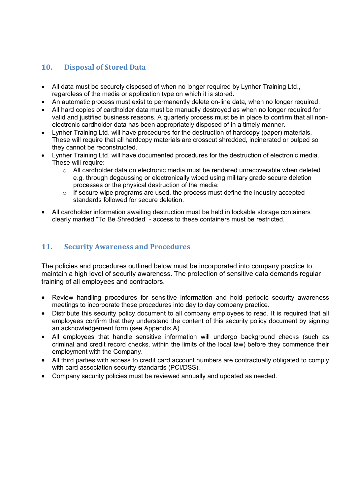## **10. Disposal of Stored Data**

- All data must be securely disposed of when no longer required by Lynher Training Ltd., regardless of the media or application type on which it is stored.
- An automatic process must exist to permanently delete on-line data, when no longer required.
- All hard copies of cardholder data must be manually destroyed as when no longer required for valid and justified business reasons. A quarterly process must be in place to confirm that all nonelectronic cardholder data has been appropriately disposed of in a timely manner.
- Lynher Training Ltd. will have procedures for the destruction of hardcopy (paper) materials. These will require that all hardcopy materials are crosscut shredded, incinerated or pulped so they cannot be reconstructed.
- Lynher Training Ltd. will have documented procedures for the destruction of electronic media. These will require:
	- o All cardholder data on electronic media must be rendered unrecoverable when deleted e.g. through degaussing or electronically wiped using military grade secure deletion processes or the physical destruction of the media;
	- $\circ$  If secure wipe programs are used, the process must define the industry accepted standards followed for secure deletion.
- All cardholder information awaiting destruction must be held in lockable storage containers clearly marked "To Be Shredded" - access to these containers must be restricted.

## **11.** Security Awareness and Procedures

The policies and procedures outlined below must be incorporated into company practice to maintain a high level of security awareness. The protection of sensitive data demands regular training of all employees and contractors.

- Review handling procedures for sensitive information and hold periodic security awareness meetings to incorporate these procedures into day to day company practice.
- Distribute this security policy document to all company employees to read. It is required that all employees confirm that they understand the content of this security policy document by signing an acknowledgement form (see Appendix A)
- All employees that handle sensitive information will undergo background checks (such as criminal and credit record checks, within the limits of the local law) before they commence their employment with the Company.
- All third parties with access to credit card account numbers are contractually obligated to comply with card association security standards (PCI/DSS).
- Company security policies must be reviewed annually and updated as needed.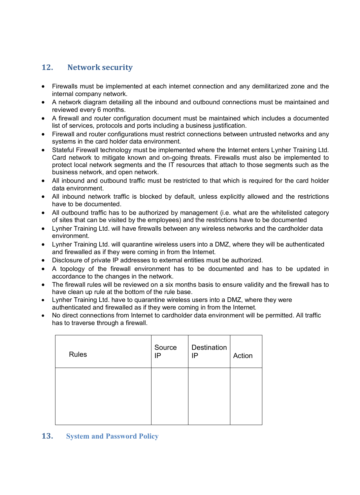## **12. Network security**

- Firewalls must be implemented at each internet connection and any demilitarized zone and the internal company network.
- A network diagram detailing all the inbound and outbound connections must be maintained and reviewed every 6 months.
- A firewall and router configuration document must be maintained which includes a documented list of services, protocols and ports including a business justification.
- Firewall and router configurations must restrict connections between untrusted networks and any systems in the card holder data environment.
- Stateful Firewall technology must be implemented where the Internet enters Lynher Training Ltd. Card network to mitigate known and on-going threats. Firewalls must also be implemented to protect local network segments and the IT resources that attach to those segments such as the business network, and open network.
- All inbound and outbound traffic must be restricted to that which is required for the card holder data environment.
- All inbound network traffic is blocked by default, unless explicitly allowed and the restrictions have to be documented.
- All outbound traffic has to be authorized by management (i.e. what are the whitelisted category of sites that can be visited by the employees) and the restrictions have to be documented
- Lynher Training Ltd. will have firewalls between any wireless networks and the cardholder data environment.
- Lynher Training Ltd. will quarantine wireless users into a DMZ, where they will be authenticated and firewalled as if they were coming in from the Internet.
- Disclosure of private IP addresses to external entities must be authorized.
- A topology of the firewall environment has to be documented and has to be updated in accordance to the changes in the network.
- The firewall rules will be reviewed on a six months basis to ensure validity and the firewall has to have clean up rule at the bottom of the rule base.
- Lynher Training Ltd. have to quarantine wireless users into a DMZ, where they were authenticated and firewalled as if they were coming in from the Internet.
- No direct connections from Internet to cardholder data environment will be permitted. All traffic has to traverse through a firewall.

| <b>Rules</b> | Source<br>ΙP | Destination<br>IP | Action |
|--------------|--------------|-------------------|--------|
|              |              |                   |        |
|              |              |                   |        |

**13. System and Password Policy**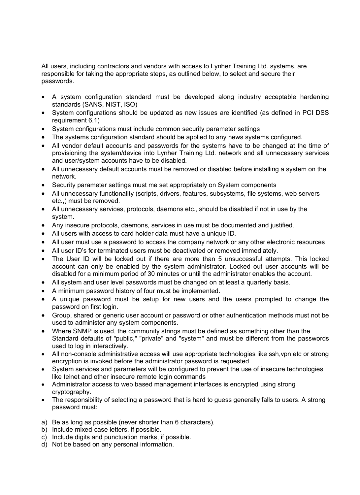All users, including contractors and vendors with access to Lynher Training Ltd. systems, are responsible for taking the appropriate steps, as outlined below, to select and secure their passwords.

- A system configuration standard must be developed along industry acceptable hardening standards (SANS, NIST, ISO)
- System configurations should be updated as new issues are identified (as defined in PCI DSS requirement 6.1)
- System configurations must include common security parameter settings
- The systems configuration standard should be applied to any news systems configured.
- All vendor default accounts and passwords for the systems have to be changed at the time of provisioning the system/device into Lynher Training Ltd. network and all unnecessary services and user/system accounts have to be disabled.
- All unnecessary default accounts must be removed or disabled before installing a system on the network.
- Security parameter settings must me set appropriately on System components
- All unnecessary functionality (scripts, drivers, features, subsystems, file systems, web servers etc.,) must be removed.
- All unnecessary services, protocols, daemons etc., should be disabled if not in use by the system.
- Any insecure protocols, daemons, services in use must be documented and justified.
- All users with access to card holder data must have a unique ID.
- All user must use a password to access the company network or any other electronic resources
- All user ID's for terminated users must be deactivated or removed immediately.
- The User ID will be locked out if there are more than 5 unsuccessful attempts. This locked account can only be enabled by the system administrator. Locked out user accounts will be disabled for a minimum period of 30 minutes or until the administrator enables the account.
- All system and user level passwords must be changed on at least a quarterly basis.
- A minimum password history of four must be implemented.
- A unique password must be setup for new users and the users prompted to change the password on first login.
- Group, shared or generic user account or password or other authentication methods must not be used to administer any system components.
- Where SNMP is used, the community strings must be defined as something other than the Standard defaults of "public," "private" and "system" and must be different from the passwords used to log in interactively.
- All non-console administrative access will use appropriate technologies like ssh, vpn etc or strong encryption is invoked before the administrator password is requested
- System services and parameters will be configured to prevent the use of insecure technologies like telnet and other insecure remote login commands
- Administrator access to web based management interfaces is encrypted using strong cryptography.
- The responsibility of selecting a password that is hard to guess generally falls to users. A strong password must:
- a) Be as long as possible (never shorter than 6 characters).
- b) Include mixed-case letters, if possible.
- c) Include digits and punctuation marks, if possible.
- d) Not be based on any personal information.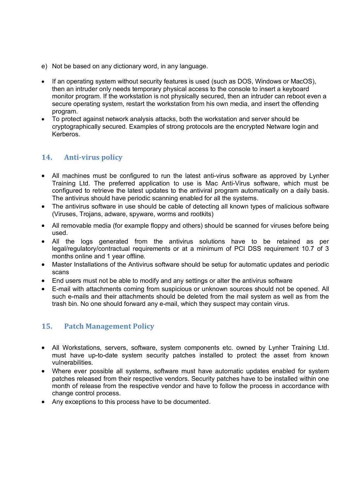- e) Not be based on any dictionary word, in any language.
- If an operating system without security features is used (such as DOS, Windows or MacOS), then an intruder only needs temporary physical access to the console to insert a keyboard monitor program. If the workstation is not physically secured, then an intruder can reboot even a secure operating system, restart the workstation from his own media, and insert the offending program.
- To protect against network analysis attacks, both the workstation and server should be cryptographically secured. Examples of strong protocols are the encrypted Netware login and Kerberos.

## **14.** Anti-virus policy

- All machines must be configured to run the latest anti-virus software as approved by Lynher Training Ltd. The preferred application to use is Mac Anti-Virus software, which must be configured to retrieve the latest updates to the antiviral program automatically on a daily basis. The antivirus should have periodic scanning enabled for all the systems.
- The antivirus software in use should be cable of detecting all known types of malicious software (Viruses, Trojans, adware, spyware, worms and rootkits)
- All removable media (for example floppy and others) should be scanned for viruses before being used.
- All the logs generated from the antivirus solutions have to be retained as per legal/regulatory/contractual requirements or at a minimum of PCI DSS requirement 10.7 of 3 months online and 1 year offline.
- Master Installations of the Antivirus software should be setup for automatic updates and periodic scans
- End users must not be able to modify and any settings or alter the antivirus software
- E-mail with attachments coming from suspicious or unknown sources should not be opened. All such e-mails and their attachments should be deleted from the mail system as well as from the trash bin. No one should forward any e-mail, which they suspect may contain virus.

## **15.** Patch Management Policy

- All Workstations, servers, software, system components etc. owned by Lynher Training Ltd. must have up-to-date system security patches installed to protect the asset from known vulnerabilities.
- Where ever possible all systems, software must have automatic updates enabled for system patches released from their respective vendors. Security patches have to be installed within one month of release from the respective vendor and have to follow the process in accordance with change control process.
- Any exceptions to this process have to be documented.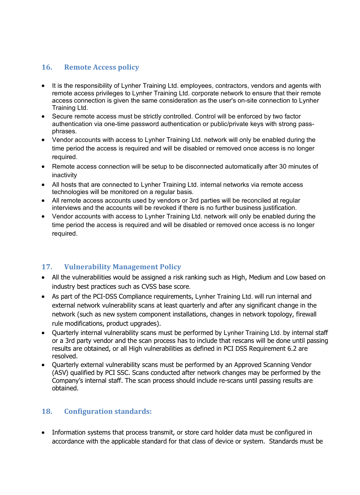## 16. **Remote Access policy**

- It is the responsibility of Lynher Training Ltd. employees, contractors, vendors and agents with remote access privileges to Lynher Training Ltd. corporate network to ensure that their remote access connection is given the same consideration as the user's on-site connection to Lynher Training Ltd.
- Secure remote access must be strictly controlled. Control will be enforced by two factor authentication via one-time password authentication or public/private keys with strong passphrases.
- Vendor accounts with access to Lynher Training Ltd. network will only be enabled during the time period the access is required and will be disabled or removed once access is no longer required.
- Remote access connection will be setup to be disconnected automatically after 30 minutes of inactivity
- All hosts that are connected to Lynher Training Ltd. internal networks via remote access technologies will be monitored on a regular basis.
- All remote access accounts used by vendors or 3rd parties will be reconciled at regular interviews and the accounts will be revoked if there is no further business justification.
- Vendor accounts with access to Lynher Training Ltd. network will only be enabled during the time period the access is required and will be disabled or removed once access is no longer required.

## **17. Vulnerability Management Policy**

- All the vulnerabilities would be assigned a risk ranking such as High, Medium and Low based on industry best practices such as CVSS base score.
- As part of the PCI-DSS Compliance requirements, Lynher Training Ltd. will run internal and external network vulnerability scans at least quarterly and after any significant change in the network (such as new system component installations, changes in network topology, firewall rule modifications, product upgrades).
- Quarterly internal vulnerability scans must be performed by Lynher Training Ltd. by internal staff or a 3rd party vendor and the scan process has to include that rescans will be done until passing results are obtained, or all High vulnerabilities as defined in PCI DSS Requirement 6.2 are resolved.
- Quarterly external vulnerability scans must be performed by an Approved Scanning Vendor (ASV) qualified by PCI SSC. Scans conducted after network changes may be performed by the Company's internal staff. The scan process should include re-scans until passing results are obtained.

## **18. Configuration standards:**

• Information systems that process transmit, or store card holder data must be configured in accordance with the applicable standard for that class of device or system. Standards must be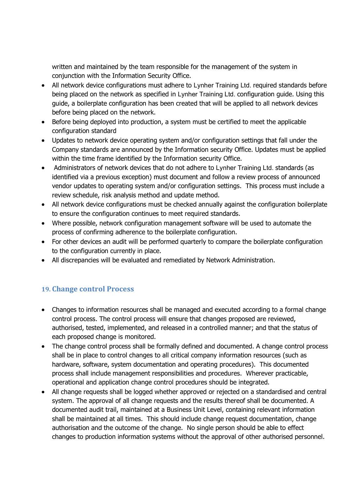written and maintained by the team responsible for the management of the system in conjunction with the Information Security Office.

- All network device configurations must adhere to Lynher Training Ltd. required standards before being placed on the network as specified in Lynher Training Ltd. configuration guide. Using this guide, a boilerplate configuration has been created that will be applied to all network devices before being placed on the network.
- Before being deployed into production, a system must be certified to meet the applicable configuration standard
- Updates to network device operating system and/or configuration settings that fall under the Company standards are announced by the Information security Office. Updates must be applied within the time frame identified by the Information security Office.
- Administrators of network devices that do not adhere to Lynher Training Ltd. standards (as identified via a previous exception) must document and follow a review process of announced vendor updates to operating system and/or configuration settings. This process must include a review schedule, risk analysis method and update method.
- All network device configurations must be checked annually against the configuration boilerplate to ensure the configuration continues to meet required standards.
- Where possible, network configuration management software will be used to automate the process of confirming adherence to the boilerplate configuration.
- For other devices an audit will be performed quarterly to compare the boilerplate configuration to the configuration currently in place.
- All discrepancies will be evaluated and remediated by Network Administration.

## **19. Change control Process**

- Changes to information resources shall be managed and executed according to a formal change control process. The control process will ensure that changes proposed are reviewed, authorised, tested, implemented, and released in a controlled manner; and that the status of each proposed change is monitored.
- The change control process shall be formally defined and documented. A change control process shall be in place to control changes to all critical company information resources (such as hardware, software, system documentation and operating procedures). This documented process shall include management responsibilities and procedures. Wherever practicable, operational and application change control procedures should be integrated.
- All change requests shall be logged whether approved or rejected on a standardised and central system. The approval of all change requests and the results thereof shall be documented. A documented audit trail, maintained at a Business Unit Level, containing relevant information shall be maintained at all times. This should include change request documentation, change authorisation and the outcome of the change. No single person should be able to effect changes to production information systems without the approval of other authorised personnel.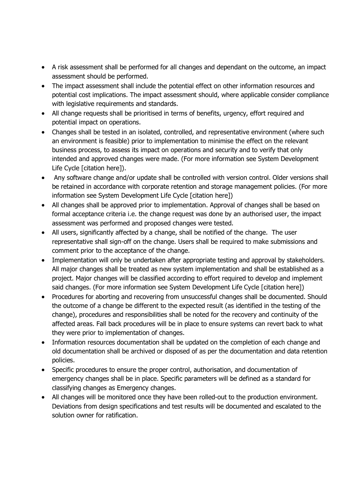- A risk assessment shall be performed for all changes and dependant on the outcome, an impact assessment should be performed.
- The impact assessment shall include the potential effect on other information resources and potential cost implications. The impact assessment should, where applicable consider compliance with legislative requirements and standards.
- All change requests shall be prioritised in terms of benefits, urgency, effort required and potential impact on operations.
- Changes shall be tested in an isolated, controlled, and representative environment (where such an environment is feasible) prior to implementation to minimise the effect on the relevant business process, to assess its impact on operations and security and to verify that only intended and approved changes were made. (For more information see System Development Life Cycle [citation here]).
- Any software change and/or update shall be controlled with version control. Older versions shall be retained in accordance with corporate retention and storage management policies. (For more information see System Development Life Cycle [citation here])
- All changes shall be approved prior to implementation. Approval of changes shall be based on formal acceptance criteria i.e. the change request was done by an authorised user, the impact assessment was performed and proposed changes were tested.
- All users, significantly affected by a change, shall be notified of the change. The user representative shall sign-off on the change. Users shall be required to make submissions and comment prior to the acceptance of the change.
- Implementation will only be undertaken after appropriate testing and approval by stakeholders. All major changes shall be treated as new system implementation and shall be established as a project. Major changes will be classified according to effort required to develop and implement said changes. (For more information see System Development Life Cycle [citation here])
- Procedures for aborting and recovering from unsuccessful changes shall be documented. Should the outcome of a change be different to the expected result (as identified in the testing of the change), procedures and responsibilities shall be noted for the recovery and continuity of the affected areas. Fall back procedures will be in place to ensure systems can revert back to what they were prior to implementation of changes.
- Information resources documentation shall be updated on the completion of each change and old documentation shall be archived or disposed of as per the documentation and data retention policies.
- Specific procedures to ensure the proper control, authorisation, and documentation of emergency changes shall be in place. Specific parameters will be defined as a standard for classifying changes as Emergency changes.
- All changes will be monitored once they have been rolled-out to the production environment. Deviations from design specifications and test results will be documented and escalated to the solution owner for ratification.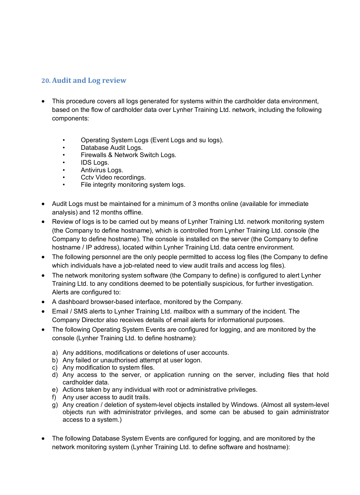## **20.** Audit and Log review

- This procedure covers all logs generated for systems within the cardholder data environment, based on the flow of cardholder data over Lynher Training Ltd. network, including the following components:
	- Operating System Logs (Event Logs and su logs).
	- Database Audit Logs.
	- Firewalls & Network Switch Logs.
	- IDS Logs.
	- Antivirus Logs.
	- Ccty Video recordings.
	- File integrity monitoring system logs.
- Audit Logs must be maintained for a minimum of 3 months online (available for immediate analysis) and 12 months offline.
- Review of logs is to be carried out by means of Lynher Training Ltd. network monitoring system (the Company to define hostname), which is controlled from Lynher Training Ltd. console (the Company to define hostname). The console is installed on the server (the Company to define hostname / IP address), located within Lynher Training Ltd. data centre environment.
- The following personnel are the only people permitted to access log files (the Company to define which individuals have a job-related need to view audit trails and access log files).
- The network monitoring system software (the Company to define) is configured to alert Lynher Training Ltd. to any conditions deemed to be potentially suspicious, for further investigation. Alerts are configured to:
- A dashboard browser-based interface, monitored by the Company.
- Email / SMS alerts to Lynher Training Ltd. mailbox with a summary of the incident. The Company Director also receives details of email alerts for informational purposes.
- The following Operating System Events are configured for logging, and are monitored by the console (Lynher Training Ltd. to define hostname):
	- a) Any additions, modifications or deletions of user accounts.
	- b) Any failed or unauthorised attempt at user logon.
	- c) Any modification to system files.
	- d) Any access to the server, or application running on the server, including files that hold cardholder data.
	- e) Actions taken by any individual with root or administrative privileges.
	- f) Any user access to audit trails.
	- g) Any creation / deletion of system-level objects installed by Windows. (Almost all system-level objects run with administrator privileges, and some can be abused to gain administrator access to a system.)
- The following Database System Events are configured for logging, and are monitored by the network monitoring system (Lynher Training Ltd. to define software and hostname):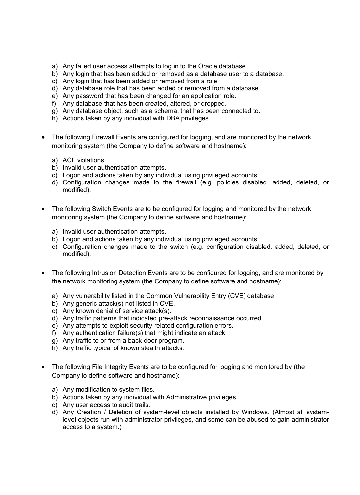- a) Any failed user access attempts to log in to the Oracle database.
- b) Any login that has been added or removed as a database user to a database.
- c) Any login that has been added or removed from a role.
- d) Any database role that has been added or removed from a database.
- e) Any password that has been changed for an application role.
- f) Any database that has been created, altered, or dropped.
- g) Any database object, such as a schema, that has been connected to.
- h) Actions taken by any individual with DBA privileges.
- The following Firewall Events are configured for logging, and are monitored by the network monitoring system (the Company to define software and hostname):
	- a) ACL violations.
	- b) Invalid user authentication attempts.
	- c) Logon and actions taken by any individual using privileged accounts.
	- d) Configuration changes made to the firewall (e.g. policies disabled, added, deleted, or modified).
- The following Switch Events are to be configured for logging and monitored by the network monitoring system (the Company to define software and hostname):
	- a) Invalid user authentication attempts.
	- b) Logon and actions taken by any individual using privileged accounts.
	- c) Configuration changes made to the switch (e.g. configuration disabled, added, deleted, or modified).
- The following Intrusion Detection Events are to be configured for logging, and are monitored by the network monitoring system (the Company to define software and hostname):
	- a) Any vulnerability listed in the Common Vulnerability Entry (CVE) database.
	- b) Any generic attack(s) not listed in CVE.
	- c) Any known denial of service attack(s).
	- d) Any traffic patterns that indicated pre-attack reconnaissance occurred.
	- e) Any attempts to exploit security-related configuration errors.
	- f) Any authentication failure(s) that might indicate an attack.
	- g) Any traffic to or from a back-door program.
	- h) Any traffic typical of known stealth attacks.
- The following File Integrity Events are to be configured for logging and monitored by (the Company to define software and hostname):
	- a) Any modification to system files.
	- b) Actions taken by any individual with Administrative privileges.
	- c) Any user access to audit trails.
	- d) Any Creation / Deletion of system-level objects installed by Windows. (Almost all systemlevel objects run with administrator privileges, and some can be abused to gain administrator access to a system.)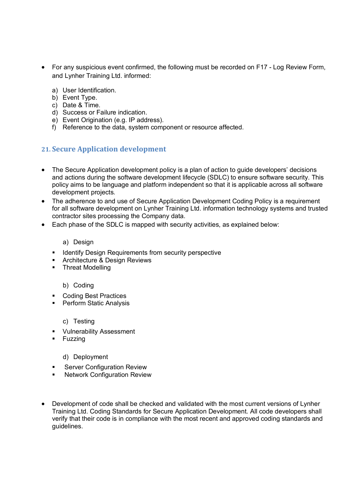- For any suspicious event confirmed, the following must be recorded on F17 Log Review Form, and Lynher Training Ltd. informed:
	- a) User Identification.
	- b) Event Type.
	- c) Date & Time.
	- d) Success or Failure indication.
	- e) Event Origination (e.g. IP address).
	- f) Reference to the data, system component or resource affected.

## **21. Secure Application development**

- The Secure Application development policy is a plan of action to guide developers' decisions and actions during the software development lifecycle (SDLC) to ensure software security. This policy aims to be language and platform independent so that it is applicable across all software development projects.
- The adherence to and use of Secure Application Development Coding Policy is a requirement for all software development on Lynher Training Ltd. information technology systems and trusted contractor sites processing the Company data.
- Each phase of the SDLC is mapped with security activities, as explained below:
	- a) Design
	- Identify Design Requirements from security perspective
	- **EXECUTE Architecture & Design Reviews**
	- **•** Threat Modelling

#### b) Coding

- Coding Best Practices
- Perform Static Analysis

#### c) Testing

- § Vulnerability Assessment
- § Fuzzing

#### d) Deployment

- **Server Configuration Review**
- **Network Configuration Review**
- Development of code shall be checked and validated with the most current versions of Lynher Training Ltd. Coding Standards for Secure Application Development. All code developers shall verify that their code is in compliance with the most recent and approved coding standards and guidelines.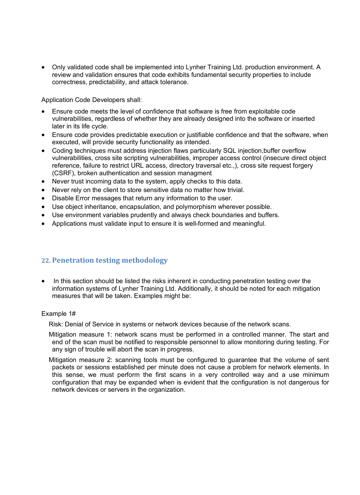• Only validated code shall be implemented into Lynher Training Ltd. production environment. A review and validation ensures that code exhibits fundamental security properties to include correctness, predictability, and attack tolerance.

Application Code Developers shall:

- Ensure code meets the level of confidence that software is free from exploitable code vulnerabilities, regardless of whether they are already designed into the software or inserted later in its life cycle.
- Ensure code provides predictable execution or justifiable confidence and that the software, when executed, will provide security functionality as intended.
- Coding techniques must address injection flaws particularly SQL injection,buffer overflow vulnerabilities, cross site scripting vulnerabilities, improper access control (insecure direct object reference, failure to restrict URL access, directory traversal etc.,), cross site request forgery (CSRF), broken authentication and session managment
- Never trust incoming data to the system, apply checks to this data.
- Never rely on the client to store sensitive data no matter how trivial.
- Disable Error messages that return any information to the user.
- Use object inheritance, encapsulation, and polymorphism wherever possible.
- Use environment variables prudently and always check boundaries and buffers.
- Applications must validate input to ensure it is well-formed and meaningful.

## **22. Penetration testing methodology**

• In this section should be listed the risks inherent in conducting penetration testing over the information systems of Lynher Training Ltd. Additionally, it should be noted for each mitigation measures that will be taken. Examples might be:

#### Example 1#

Risk: Denial of Service in systems or network devices because of the network scans.

 Mitigation measure 1: network scans must be performed in a controlled manner. The start and end of the scan must be notified to responsible personnel to allow monitoring during testing. For any sign of trouble will abort the scan in progress.

 Mitigation measure 2: scanning tools must be configured to guarantee that the volume of sent packets or sessions established per minute does not cause a problem for network elements. In this sense, we must perform the first scans in a very controlled way and a use minimum configuration that may be expanded when is evident that the configuration is not dangerous for network devices or servers in the organization.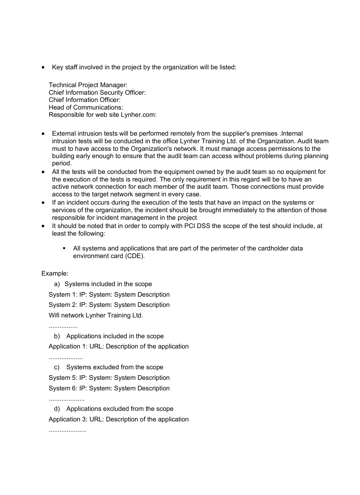• Key staff involved in the project by the organization will be listed:

 Technical Project Manager: Chief Information Security Officer: Chief Information Officer: Head of Communications: Responsible for web site Lynher.com:

- External intrusion tests will be performed remotely from the supplier's premises .Internal intrusion tests will be conducted in the office Lynher Training Ltd. of the Organization. Audit team must to have access to the Organization's network. It must manage access permissions to the building early enough to ensure that the audit team can access without problems during planning period.
- All the tests will be conducted from the equipment owned by the audit team so no equipment for the execution of the tests is required. The only requirement in this regard will be to have an active network connection for each member of the audit team. Those connections must provide access to the target network segment in every case.
- If an incident occurs during the execution of the tests that have an impact on the systems or services of the organization, the incident should be brought immediately to the attention of those responsible for incident management in the project
- It should be noted that in order to comply with PCI DSS the scope of the test should include, at least the following:
	- All systems and applications that are part of the perimeter of the cardholder data environment card (CDE).

#### Example:

a) Systems included in the scope System 1: IP: System: System Description System 2: IP: System: System Description Wifi network Lynher Training Ltd.

................

b) Applications included in the scope Application 1: URL: Description of the application

...................

c) Systems excluded from the scope

System 5: IP: System: System Description

System 6: IP: System: System Description

....................

d) Applications excluded from the scope

Application 3: URL: Description of the application

.....................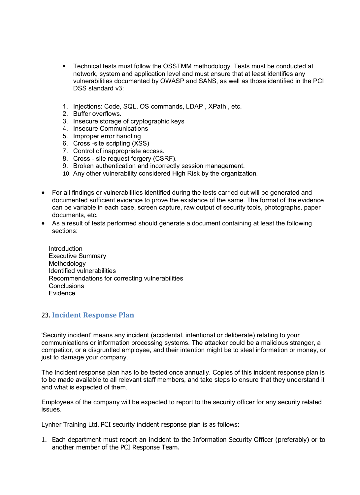- § Technical tests must follow the OSSTMM methodology. Tests must be conducted at network, system and application level and must ensure that at least identifies any vulnerabilities documented by OWASP and SANS, as well as those identified in the PCI DSS standard v3:
- 1. Injections: Code, SQL, OS commands, LDAP , XPath , etc.
- 2. Buffer overflows.
- 3. Insecure storage of cryptographic keys
- 4. Insecure Communications
- 5. Improper error handling
- 6. Cross -site scripting (XSS)
- 7. Control of inappropriate access.
- 8. Cross site request forgery (CSRF).
- 9. Broken authentication and incorrectly session management.
- 10. Any other vulnerability considered High Risk by the organization.
- For all findings or vulnerabilities identified during the tests carried out will be generated and documented sufficient evidence to prove the existence of the same. The format of the evidence can be variable in each case, screen capture, raw output of security tools, photographs, paper documents, etc.
- As a result of tests performed should generate a document containing at least the following sections:

**Introduction**  Executive Summary Methodology Identified vulnerabilities Recommendations for correcting vulnerabilities **Conclusions** Evidence

## **23. Incident Response Plan**

'Security incident' means any incident (accidental, intentional or deliberate) relating to your communications or information processing systems. The attacker could be a malicious stranger, a competitor, or a disgruntled employee, and their intention might be to steal information or money, or just to damage your company.

The Incident response plan has to be tested once annually. Copies of this incident response plan is to be made available to all relevant staff members, and take steps to ensure that they understand it and what is expected of them.

Employees of the company will be expected to report to the security officer for any security related issues.

Lynher Training Ltd. PCI security incident response plan is as follows:

1. Each department must report an incident to the Information Security Officer (preferably) or to another member of the PCI Response Team.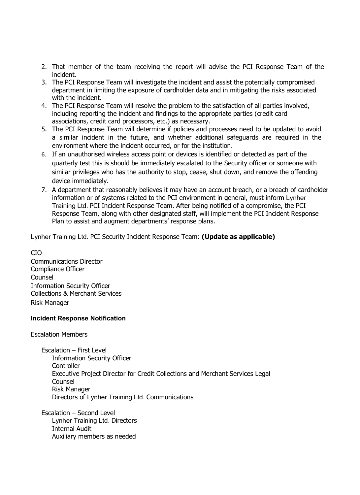- 2. That member of the team receiving the report will advise the PCI Response Team of the incident.
- 3. The PCI Response Team will investigate the incident and assist the potentially compromised department in limiting the exposure of cardholder data and in mitigating the risks associated with the incident.
- 4. The PCI Response Team will resolve the problem to the satisfaction of all parties involved, including reporting the incident and findings to the appropriate parties (credit card associations, credit card processors, etc.) as necessary.
- 5. The PCI Response Team will determine if policies and processes need to be updated to avoid a similar incident in the future, and whether additional safeguards are required in the environment where the incident occurred, or for the institution.
- 6. If an unauthorised wireless access point or devices is identified or detected as part of the quarterly test this is should be immediately escalated to the Security officer or someone with similar privileges who has the authority to stop, cease, shut down, and remove the offending device immediately.
- 7. A department that reasonably believes it may have an account breach, or a breach of cardholder information or of systems related to the PCI environment in general, must inform Lynher Training Ltd. PCI Incident Response Team. After being notified of a compromise, the PCI Response Team, along with other designated staff, will implement the PCI Incident Response Plan to assist and augment departments' response plans.

Lynher Training Ltd. PCI Security Incident Response Team: **(Update as applicable)**

CIO Communications Director Compliance Officer Counsel Information Security Officer Collections & Merchant Services Risk Manager

#### **Incident Response Notification**

Escalation Members

Escalation – First Level Information Security Officer **Controller** Executive Project Director for Credit Collections and Merchant Services Legal Counsel Risk Manager Directors of Lynher Training Ltd. Communications

Escalation – Second Level Lynher Training Ltd. Directors Internal Audit Auxiliary members as needed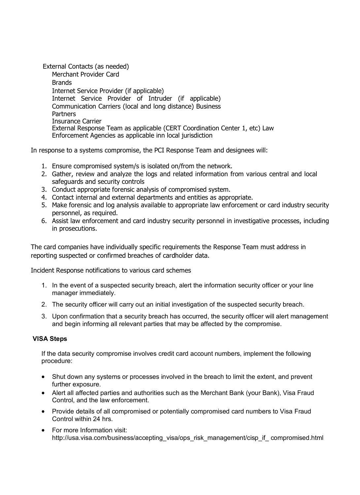External Contacts (as needed) Merchant Provider Card **Brands** Internet Service Provider (if applicable) Internet Service Provider of Intruder (if applicable) Communication Carriers (local and long distance) Business **Partners** Insurance Carrier External Response Team as applicable (CERT Coordination Center 1, etc) Law Enforcement Agencies as applicable inn local jurisdiction

In response to a systems compromise, the PCI Response Team and designees will:

- 1. Ensure compromised system/s is isolated on/from the network.
- 2. Gather, review and analyze the logs and related information from various central and local safeguards and security controls
- 3. Conduct appropriate forensic analysis of compromised system.
- 4. Contact internal and external departments and entities as appropriate.
- 5. Make forensic and log analysis available to appropriate law enforcement or card industry security personnel, as required.
- 6. Assist law enforcement and card industry security personnel in investigative processes, including in prosecutions.

The card companies have individually specific requirements the Response Team must address in reporting suspected or confirmed breaches of cardholder data.

Incident Response notifications to various card schemes

- 1. In the event of a suspected security breach, alert the information security officer or your line manager immediately.
- 2. The security officer will carry out an initial investigation of the suspected security breach.
- 3. Upon confirmation that a security breach has occurred, the security officer will alert management and begin informing all relevant parties that may be affected by the compromise.

#### **VISA Steps**

If the data security compromise involves credit card account numbers, implement the following procedure:

- Shut down any systems or processes involved in the breach to limit the extent, and prevent further exposure.
- Alert all affected parties and authorities such as the Merchant Bank (your Bank), Visa Fraud Control, and the law enforcement.
- Provide details of all compromised or potentially compromised card numbers to Visa Fraud Control within 24 hrs.
- For more Information visit: http://usa.visa.com/business/accepting\_visa/ops\_risk\_management/cisp\_if\_ compromised.html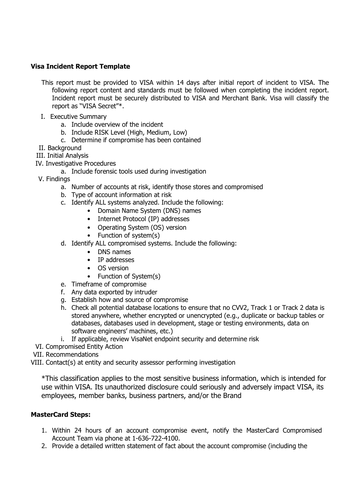## **Visa Incident Report Template**

- This report must be provided to VISA within 14 days after initial report of incident to VISA. The following report content and standards must be followed when completing the incident report. Incident report must be securely distributed to VISA and Merchant Bank. Visa will classify the report as "VISA Secret"\*.
- I. Executive Summary
	- a. Include overview of the incident
	- b. Include RISK Level (High, Medium, Low)
	- c. Determine if compromise has been contained
- II. Background
- III. Initial Analysis
- IV. Investigative Procedures
	- a. Include forensic tools used during investigation
- V. Findings
	- a. Number of accounts at risk, identify those stores and compromised
	- b. Type of account information at risk
	- c. Identify ALL systems analyzed. Include the following:
		- Domain Name System (DNS) names
		- Internet Protocol (IP) addresses
		- Operating System (OS) version
		- Function of system(s)
	- d. Identify ALL compromised systems. Include the following:
		- DNS names
		- IP addresses
		- OS version
		- Function of System(s)
	- e. Timeframe of compromise
	- f. Any data exported by intruder
	- g. Establish how and source of compromise
	- h. Check all potential database locations to ensure that no CVV2, Track 1 or Track 2 data is stored anywhere, whether encrypted or unencrypted (e.g., duplicate or backup tables or databases, databases used in development, stage or testing environments, data on software engineers' machines, etc.)
	- i. If applicable, review VisaNet endpoint security and determine risk
- VI. Compromised Entity Action
- VII. Recommendations

VIII. Contact(s) at entity and security assessor performing investigation

\*This classification applies to the most sensitive business information, which is intended for use within VISA. Its unauthorized disclosure could seriously and adversely impact VISA, its employees, member banks, business partners, and/or the Brand

## **MasterCard Steps:**

- 1. Within 24 hours of an account compromise event, notify the MasterCard Compromised Account Team via phone at 1-636-722-4100.
- 2. Provide a detailed written statement of fact about the account compromise (including the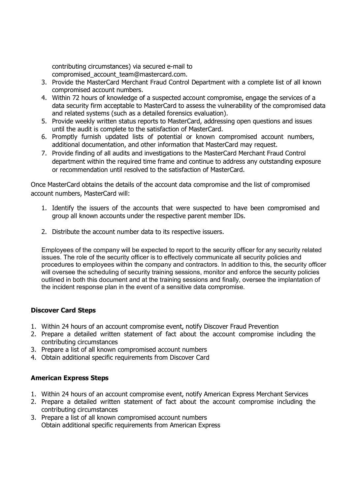contributing circumstances) via secured e-mail to compromised\_account\_team@mastercard.com.

- 3. Provide the MasterCard Merchant Fraud Control Department with a complete list of all known compromised account numbers.
- 4. Within 72 hours of knowledge of a suspected account compromise, engage the services of a data security firm acceptable to MasterCard to assess the vulnerability of the compromised data and related systems (such as a detailed forensics evaluation).
- 5. Provide weekly written status reports to MasterCard, addressing open questions and issues until the audit is complete to the satisfaction of MasterCard.
- 6. Promptly furnish updated lists of potential or known compromised account numbers, additional documentation, and other information that MasterCard may request.
- 7. Provide finding of all audits and investigations to the MasterCard Merchant Fraud Control department within the required time frame and continue to address any outstanding exposure or recommendation until resolved to the satisfaction of MasterCard.

Once MasterCard obtains the details of the account data compromise and the list of compromised account numbers, MasterCard will:

- 1. Identify the issuers of the accounts that were suspected to have been compromised and group all known accounts under the respective parent member IDs.
- 2. Distribute the account number data to its respective issuers.

Employees of the company will be expected to report to the security officer for any security related issues. The role of the security officer is to effectively communicate all security policies and procedures to employees within the company and contractors. In addition to this, the security officer will oversee the scheduling of security training sessions, monitor and enforce the security policies outlined in both this document and at the training sessions and finally, oversee the implantation of the incident response plan in the event of a sensitive data compromise.

## **Discover Card Steps**

- 1. Within 24 hours of an account compromise event, notify Discover Fraud Prevention
- 2. Prepare a detailed written statement of fact about the account compromise including the contributing circumstances
- 3. Prepare a list of all known compromised account numbers
- 4. Obtain additional specific requirements from Discover Card

## **American Express Steps**

- 1. Within 24 hours of an account compromise event, notify American Express Merchant Services
- 2. Prepare a detailed written statement of fact about the account compromise including the contributing circumstances
- 3. Prepare a list of all known compromised account numbers Obtain additional specific requirements from American Express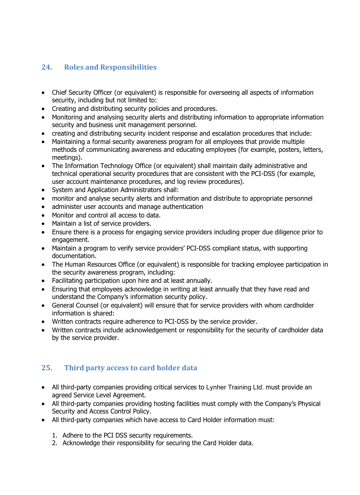## **24.** Roles and Responsibilities

- Chief Security Officer (or equivalent) is responsible for overseeing all aspects of information security, including but not limited to:
- Creating and distributing security policies and procedures.
- Monitoring and analysing security alerts and distributing information to appropriate information security and business unit management personnel.
- creating and distributing security incident response and escalation procedures that include:
- Maintaining a formal security awareness program for all employees that provide multiple methods of communicating awareness and educating employees (for example, posters, letters, meetings).
- The Information Technology Office (or equivalent) shall maintain daily administrative and technical operational security procedures that are consistent with the PCI-DSS (for example, user account maintenance procedures, and log review procedures).
- System and Application Administrators shall:
- monitor and analyse security alerts and information and distribute to appropriate personnel
- administer user accounts and manage authentication
- Monitor and control all access to data.
- Maintain a list of service providers.
- Ensure there is a process for engaging service providers including proper due diligence prior to engagement.
- Maintain a program to verify service providers' PCI-DSS compliant status, with supporting documentation.
- The Human Resources Office (or equivalent) is responsible for tracking employee participation in the security awareness program, including:
- Facilitating participation upon hire and at least annually.
- Ensuring that employees acknowledge in writing at least annually that they have read and understand the Company's information security policy.
- General Counsel (or equivalent) will ensure that for service providers with whom cardholder information is shared:
- Written contracts require adherence to PCI-DSS by the service provider.
- Written contracts include acknowledgement or responsibility for the security of cardholder data by the service provider.

## **25. Third party access to card holder data**

- All third-party companies providing critical services to Lynher Training Ltd. must provide an agreed Service Level Agreement.
- All third-party companies providing hosting facilities must comply with the Company's Physical Security and Access Control Policy.
- All third-party companies which have access to Card Holder information must:
	- 1. Adhere to the PCI DSS security requirements.
	- 2. Acknowledge their responsibility for securing the Card Holder data.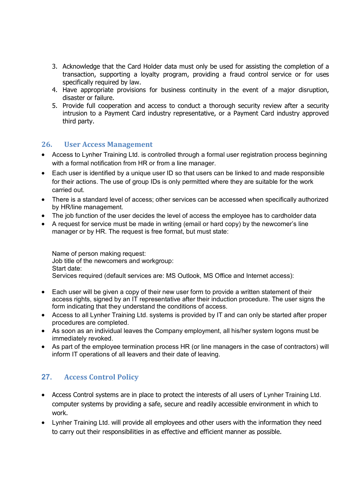- 3. Acknowledge that the Card Holder data must only be used for assisting the completion of a transaction, supporting a loyalty program, providing a fraud control service or for uses specifically required by law.
- 4. Have appropriate provisions for business continuity in the event of a major disruption, disaster or failure.
- 5. Provide full cooperation and access to conduct a thorough security review after a security intrusion to a Payment Card industry representative, or a Payment Card industry approved third party.

## **26. User Access Management**

- Access to Lynher Training Ltd. is controlled through a formal user registration process beginning with a formal notification from HR or from a line manager.
- Each user is identified by a unique user ID so that users can be linked to and made responsible for their actions. The use of group IDs is only permitted where they are suitable for the work carried out.
- There is a standard level of access; other services can be accessed when specifically authorized by HR/line management.
- The job function of the user decides the level of access the employee has to cardholder data
- A request for service must be made in writing (email or hard copy) by the newcomer's line manager or by HR. The request is free format, but must state:

Name of person making request: Job title of the newcomers and workgroup: Start date: Services required (default services are: MS Outlook, MS Office and Internet access):

- Each user will be given a copy of their new user form to provide a written statement of their access rights, signed by an IT representative after their induction procedure. The user signs the form indicating that they understand the conditions of access.
- Access to all Lynher Training Ltd. systems is provided by IT and can only be started after proper procedures are completed.
- As soon as an individual leaves the Company employment, all his/her system logons must be immediately revoked.
- As part of the employee termination process HR (or line managers in the case of contractors) will inform IT operations of all leavers and their date of leaving.

## **27. Access Control Policy**

- Access Control systems are in place to protect the interests of all users of Lynher Training Ltd. computer systems by providing a safe, secure and readily accessible environment in which to work.
- Lynher Training Ltd. will provide all employees and other users with the information they need to carry out their responsibilities in as effective and efficient manner as possible.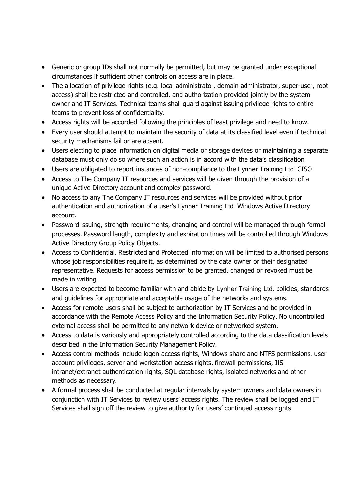- Generic or group IDs shall not normally be permitted, but may be granted under exceptional circumstances if sufficient other controls on access are in place.
- The allocation of privilege rights (e.g. local administrator, domain administrator, super-user, root access) shall be restricted and controlled, and authorization provided jointly by the system owner and IT Services. Technical teams shall guard against issuing privilege rights to entire teams to prevent loss of confidentiality.
- Access rights will be accorded following the principles of least privilege and need to know.
- Every user should attempt to maintain the security of data at its classified level even if technical security mechanisms fail or are absent.
- Users electing to place information on digital media or storage devices or maintaining a separate database must only do so where such an action is in accord with the data's classification
- Users are obligated to report instances of non-compliance to the Lynher Training Ltd. CISO
- Access to The Company IT resources and services will be given through the provision of a unique Active Directory account and complex password.
- No access to any The Company IT resources and services will be provided without prior authentication and authorization of a user's Lynher Training Ltd. Windows Active Directory account.
- Password issuing, strength requirements, changing and control will be managed through formal processes. Password length, complexity and expiration times will be controlled through Windows Active Directory Group Policy Objects.
- Access to Confidential, Restricted and Protected information will be limited to authorised persons whose job responsibilities require it, as determined by the data owner or their designated representative. Requests for access permission to be granted, changed or revoked must be made in writing.
- Users are expected to become familiar with and abide by Lynher Training Ltd. policies, standards and guidelines for appropriate and acceptable usage of the networks and systems.
- Access for remote users shall be subject to authorization by IT Services and be provided in accordance with the Remote Access Policy and the Information Security Policy. No uncontrolled external access shall be permitted to any network device or networked system.
- Access to data is variously and appropriately controlled according to the data classification levels described in the Information Security Management Policy.
- Access control methods include logon access rights, Windows share and NTFS permissions, user account privileges, server and workstation access rights, firewall permissions, IIS intranet/extranet authentication rights, SQL database rights, isolated networks and other methods as necessary.
- A formal process shall be conducted at regular intervals by system owners and data owners in conjunction with IT Services to review users' access rights. The review shall be logged and IT Services shall sign off the review to give authority for users' continued access rights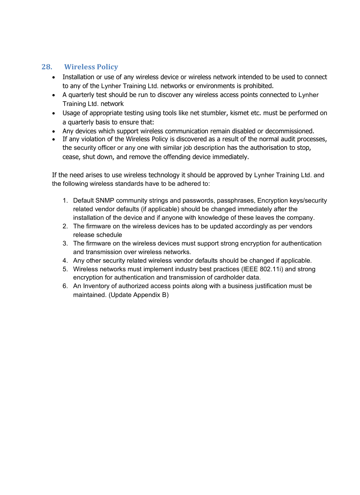## **28. Wireless Policy**

- Installation or use of any wireless device or wireless network intended to be used to connect to any of the Lynher Training Ltd. networks or environments is prohibited.
- A quarterly test should be run to discover any wireless access points connected to Lynher Training Ltd. network
- Usage of appropriate testing using tools like net stumbler, kismet etc. must be performed on a quarterly basis to ensure that:
- Any devices which support wireless communication remain disabled or decommissioned.
- If any violation of the Wireless Policy is discovered as a result of the normal audit processes, the security officer or any one with similar job description has the authorisation to stop, cease, shut down, and remove the offending device immediately.

If the need arises to use wireless technology it should be approved by Lynher Training Ltd. and the following wireless standards have to be adhered to:

- 1. Default SNMP community strings and passwords, passphrases, Encryption keys/security related vendor defaults (if applicable) should be changed immediately after the installation of the device and if anyone with knowledge of these leaves the company.
- 2. The firmware on the wireless devices has to be updated accordingly as per vendors release schedule
- 3. The firmware on the wireless devices must support strong encryption for authentication and transmission over wireless networks.
- 4. Any other security related wireless vendor defaults should be changed if applicable.
- 5. Wireless networks must implement industry best practices (IEEE 802.11i) and strong encryption for authentication and transmission of cardholder data.
- 6. An Inventory of authorized access points along with a business justification must be maintained. (Update Appendix B)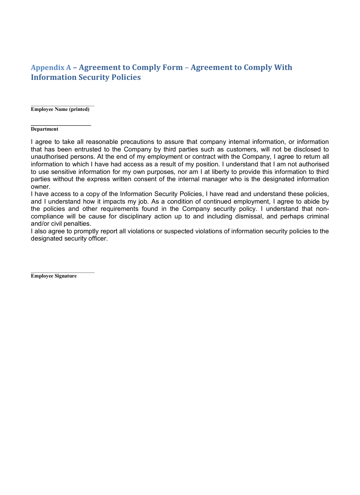## Appendix A – Agreement to Comply Form – Agreement to Comply With **Information Security Policies**

 $\overline{\phantom{a}}$  , where  $\overline{\phantom{a}}$ **Employee Name (printed)** 

 $\overline{\phantom{a}}$  , where  $\overline{\phantom{a}}$ 

**Department** 

I agree to take all reasonable precautions to assure that company internal information, or information that has been entrusted to the Company by third parties such as customers, will not be disclosed to unauthorised persons. At the end of my employment or contract with the Company, I agree to return all information to which I have had access as a result of my position. I understand that I am not authorised to use sensitive information for my own purposes, nor am I at liberty to provide this information to third parties without the express written consent of the internal manager who is the designated information owner.

I have access to a copy of the Information Security Policies, I have read and understand these policies, and I understand how it impacts my job. As a condition of continued employment, I agree to abide by the policies and other requirements found in the Company security policy. I understand that noncompliance will be cause for disciplinary action up to and including dismissal, and perhaps criminal and/or civil penalties.

I also agree to promptly report all violations or suspected violations of information security policies to the designated security officer.

**Employee Signature** 

 $\overline{\phantom{a}}$  , where  $\overline{\phantom{a}}$